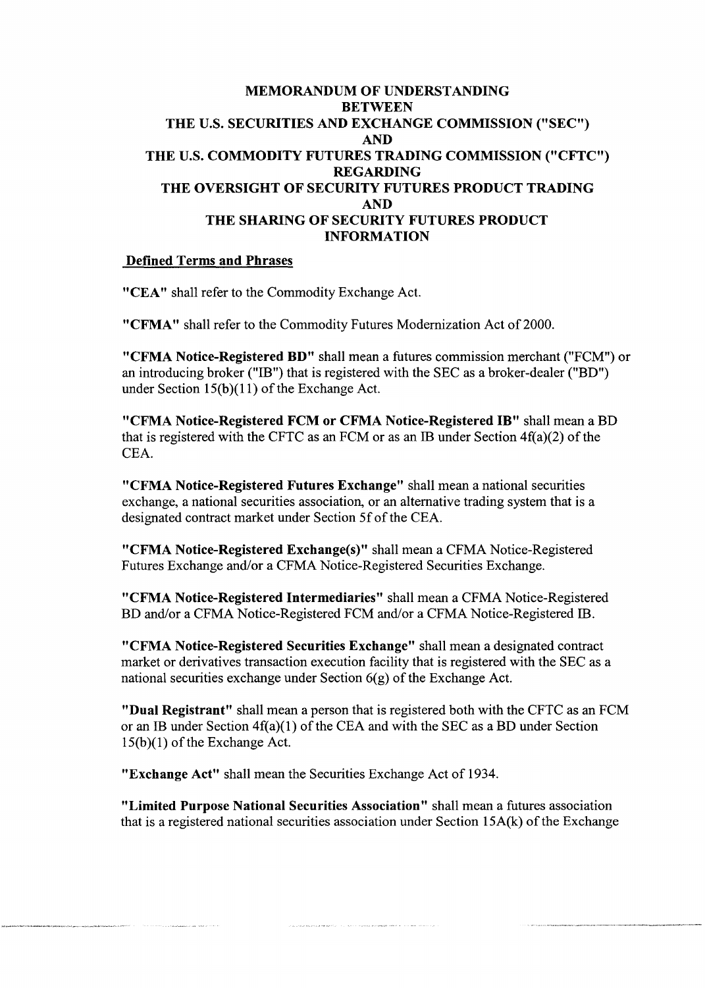## MEMORANDUM OF UNDERSTANDING **BETWEEN** THE U.S. SECURITIES AND EXCHANGE COMMISSION ("SEC") AND THE U.S. COMMODITY FUTURES TRADING COMMISSION ("CFTC") REGARDING THE OVERSIGHT OF SECURITY FUTURES PRODUCT TRADING AND THE SHARING OF SECURITY FUTURES PRODUCT INFORMATION

## Defined Terms and Phrases

"CEA" shall refer to the Commodity Exchange Act.

"CFMA" shall refer to the Commodity Futures Modernization Act of 2000.

"CFMA Notice-Registered BD" shall mean a futures commission merchant ("FCM") or an introducing broker ("IB") that is registered with the SEC as a broker-dealer ("BD") under Section  $15(b)(11)$  of the Exchange Act.

"CFMA Notice-Registered FCM or CFMA Notice-Registered IB" shall mean a BD that is registered with the CFTC as an FCM or as an IB under Section 4f(a)(2) of the CEA.

"CFMA Notice-Registered Futures Exchange" shall mean a national securities exchange, a national securities association, or an alternative trading system that is a designated contract market under Section Sf of the CEA.

"CFMA Notice-Registered Exchange(s)" shall mean a CFMA Notice-Registered Futures Exchange and/or a CFMA Notice-Registered Securities Exchange.

"CFMA Notice-Registered Intermediaries" shall mean a CFMA Notice-Registered BD and/or a CFMA Notice-Registered FCM and/or a CFMA Notice-Registered IB.

"CFMA Notice-Registered Securities Exchange" shall mean a designated contract market or derivatives transaction execution facility that is registered with the SEC as a national securities exchange under Section 6(g) of the Exchange Act.

"Dual Registrant" shall mean a person that is registered both with the CFTC as an FCM or an IB under Section 4f(a)(l) of the CEA and with the SEC as a BD under Section  $15(b)(1)$  of the Exchange Act.

"Exchange Act" shall mean the Securities Exchange Act of 1934.

"Limited Purpose National Securities Association" shall mean a futures association that is a registered national securities association under Section 15A(k) of the Exchange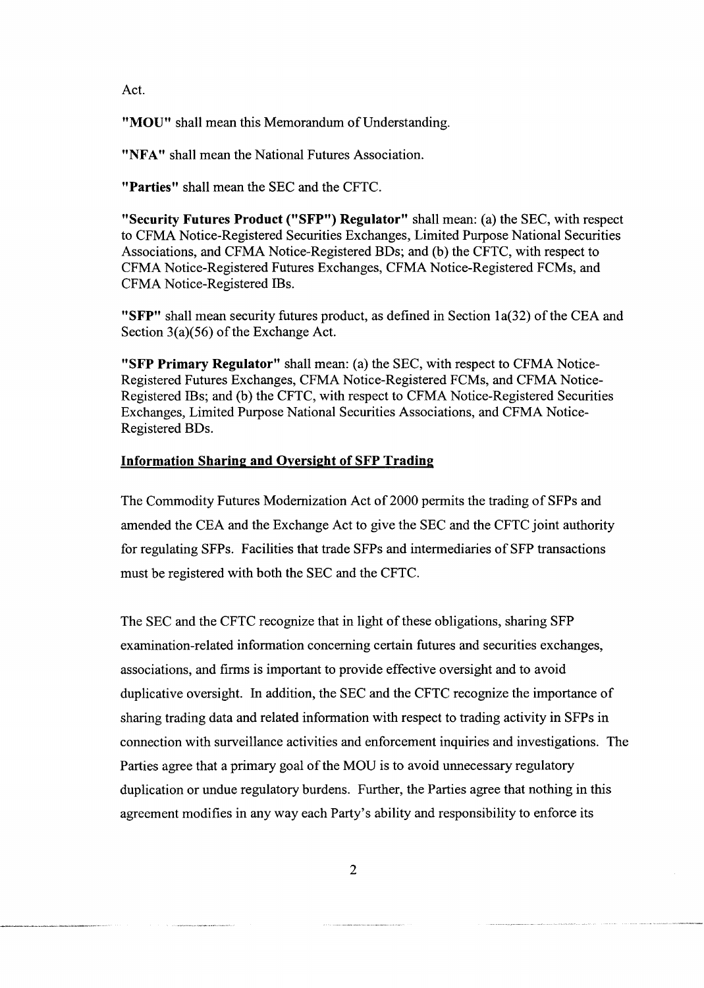Act.

**"MOU"** shall mean this Memorandum of Understanding.

"NFA" shall mean the National Futures Association.

**"Parties"** shall mean the SEC and the CFTC.

**"Security Futures Product ("SFP") Regulator"** shall mean: (a) the SEC, with respect to CFMA Notice-Registered Securities Exchanges, Limited Purpose National Securities Associations, and CFMA Notice-Registered BDs; and (b) the CFTC, with respect to CFMA Notice-Registered Futures Exchanges, CFMA Notice-Registered FCMs, and CFMA Notice-Registered IBs.

**"SFP"** shall mean security futures product, as defined in Section la(32) of the CEA and Section  $3(a)(56)$  of the Exchange Act.

**"SFP Primary Regulator"** shall mean: (a) the SEC, with respect to CFMA Notice-Registered Futures Exchanges, CFMA Notice-Registered FCMs, and CFMA Notice-Registered IBs; and (b) the CFTC, with respect to CFMA Notice-Registered Securities Exchanges, Limited Purpose National Securities Associations, and CFMA Notice-Registered BDs.

## **Information Sharing and Oversight of SFP Trading**

The Commodity Futures Modernization Act of 2000 permits the trading of SFPs and amended the CEA and the Exchange Act to give the SEC and the CFTC joint authority for regulating SFPs. Facilities that trade SFPs and intermediaries of SFP transactions must be registered with both the SEC and the CFTC.

The SEC and the CFTC recognize that in light of these obligations, sharing SFP examination-related information concerning certain futures and securities exchanges, associations, and firms is important to provide effective oversight and to avoid duplicative oversight. In addition, the SEC and the CFTC recognize the importance of sharing trading data and related information with respect to trading activity in SFPs in connection with surveillance activities and enforcement inquiries and investigations. The Parties agree that a primary goal of the MOU is to avoid unnecessary regulatory duplication or undue regulatory burdens. Further, the Parties agree that nothing in this agreement modifies in any way each Party's ability and responsibility to enforce its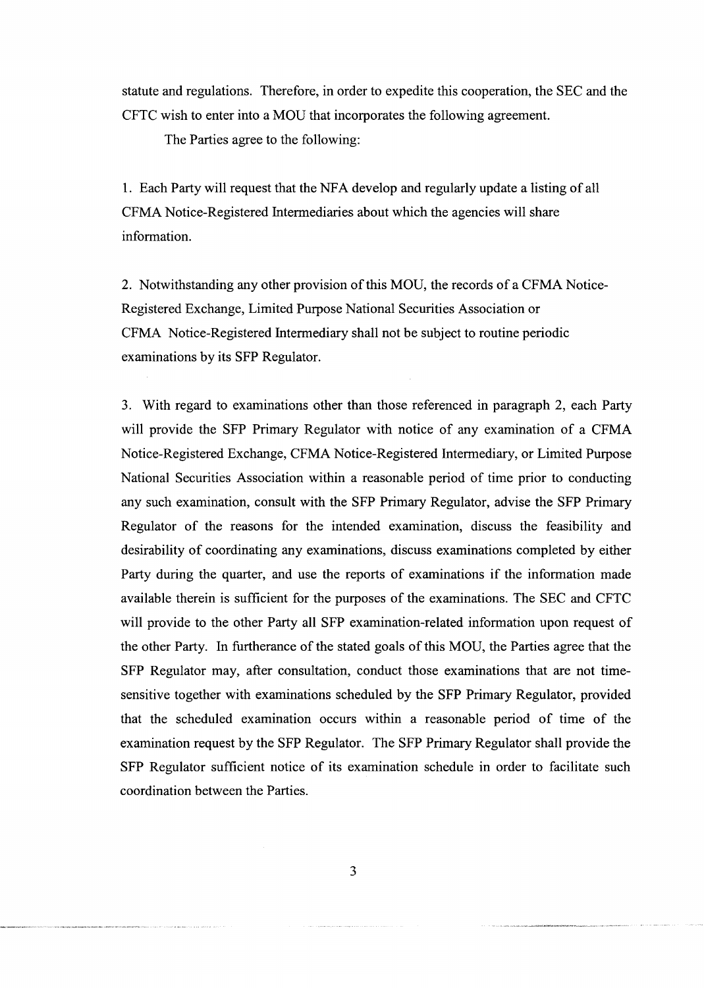statute and regulations. Therefore, in order to expedite this cooperation, the SEC and the CFTC wish to enter into a MOU that incorporates the following agreement.

The Parties agree to the following:

1. Each Party will request that the NFA develop and regularly update a listing of all CFMA Notice-Registered Intermediaries about which the agencies will share information.

2. Notwithstanding any other provision of this MOU, the records of a CFMA Notice-Registered Exchange, Limited Purpose National Securities Association or CFMA Notice-Registered Intermediary shall not be subject to routine periodic examinations by its SFP Regulator.

3. With regard to examinations other than those referenced in paragraph 2, each Party will provide the SFP Primary Regulator with notice of any examination of a CFMA Notice-Registered Exchange, CFMA Notice-Registered Intermediary, or Limited Purpose National Securities Association within a reasonable period of time prior to conducting any such examination, consult with the SFP Primary Regulator, advise the SFP Primary Regulator of the reasons for the intended examination, discuss the feasibility and desirability of coordinating any examinations, discuss examinations completed by either Party during the quarter, and use the reports of examinations if the information made available therein is sufficient for the purposes of the examinations. The SEC and CFTC will provide to the other Party all SFP examination-related information upon request of the other Party. In furtherance of the stated goals of this MOU, the Parties agree that the SFP Regulator may, after consultation, conduct those examinations that are not timesensitive together with examinations scheduled by the SFP Primary Regulator, provided that the scheduled examination occurs within a reasonable period of time of the examination request by the SFP Regulator. The SFP Primary Regulator shall provide the SFP Regulator sufficient notice of its examination schedule in order to facilitate such coordination between the Parties.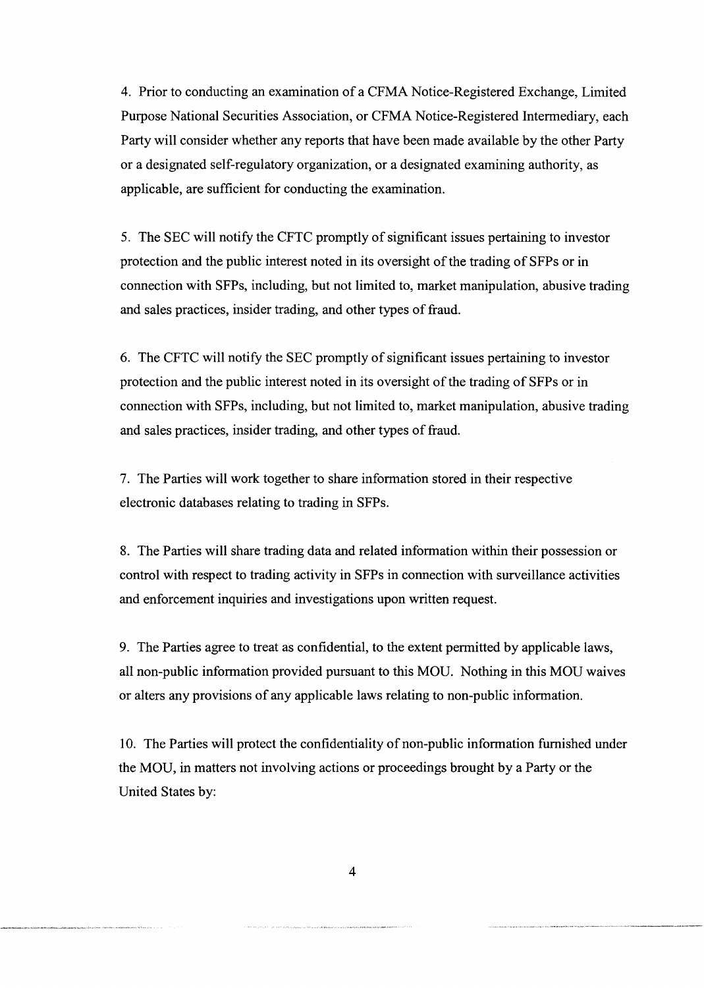4. Prior to conducting an examination of a CFMA Notice-Registered Exchange, Limited Purpose National Securities Association, or CFMA Notice-Registered Intermediary, each Party will consider whether any reports that have been made available by the other Party or a designated self-regulatory organization, or a designated examining authority, as applicable, are sufficient for conducting the examination.

5. The SEC will notify the CFTC promptly of significant issues pertaining to investor protection and the public interest noted in its oversight of the trading of SFPs or in connection with SFPs, including, but not limited to, market manipulation, abusive trading and sales practices, insider trading, and other types of fraud.

6. The CFTC will notify the SEC promptly of significant issues pertaining to investor protection and the public interest noted in its oversight of the trading of SFPs or in connection with SFPs, including, but not limited to, market manipulation, abusive trading and sales practices, insider trading, and other types of fraud.

7. The Parties will work together to share information stored in their respective electronic databases relating to trading in SFPs.

8. The Parties will share trading data and related information within their possession or control with respect to trading activity in SFPs in connection with surveillance activities and enforcement inquiries and investigations upon written request.

9. The Parties agree to treat as confidential, to the extent permitted by applicable laws, all non-public information provided pursuant to this MOU. Nothing in this MOU waives or alters any provisions of any applicable laws relating to non-public information.

10. The Parties will protect the confidentiality of non-public information furnished under the MOU, in matters not involving actions or proceedings brought by a Party or the United States by: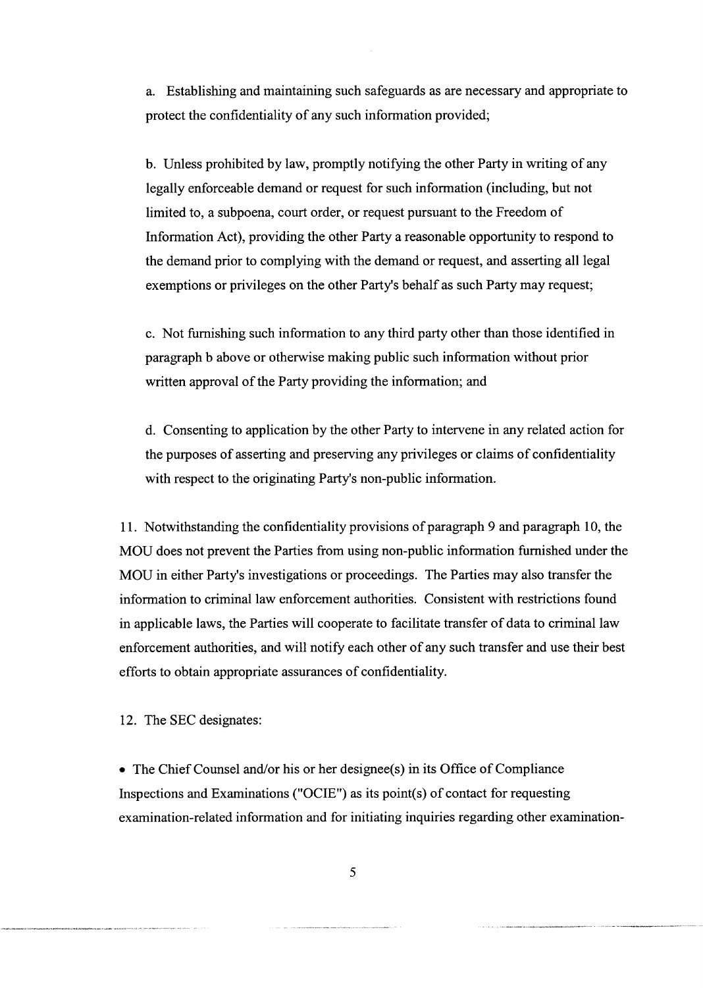a. Establishing and maintaining such safeguards as are necessary and appropriate to protect the confidentiality of any such information provided;

b. Unless prohibited by law, promptly notifying the other Party in writing of any legally enforceable demand or request for such information (including, but not limited to, a subpoena, court order, or request pursuant to the Freedom of Information Act), providing the other Party a reasonable opportunity to respond to the demand prior to complying with the demand or request, and asserting all legal exemptions or privileges on the other Party's behalf as such Party may request;

c. Not furnishing such information to any third party other than those identified in paragraph b above or otherwise making public such information without prior written approval of the Party providing the information; and

d. Consenting to application by the other Party to intervene in any related action for the purposes of asserting and preserving any privileges or claims of confidentiality with respect to the originating Party's non-public information.

11. Notwithstanding the confidentiality provisions of paragraph 9 and paragraph 10, the MOU does not prevent the Parties from using non-public information furnished under the MOU in either Party's investigations or proceedings. The Parties may also transfer the information to criminal law enforcement authorities. Consistent with restrictions found in applicable laws, the Parties will cooperate to facilitate transfer of data to criminal law enforcement authorities, and will notify each other of any such transfer and use their best efforts to obtain appropriate assurances of confidentiality.

12. The SEC designates:

• The Chief Counsel and/or his or her designee(s) in its Office of Compliance Inspections and Examinations ("OCIE") as its point(s) of contact for requesting examination-related information and for initiating inquiries regarding other examination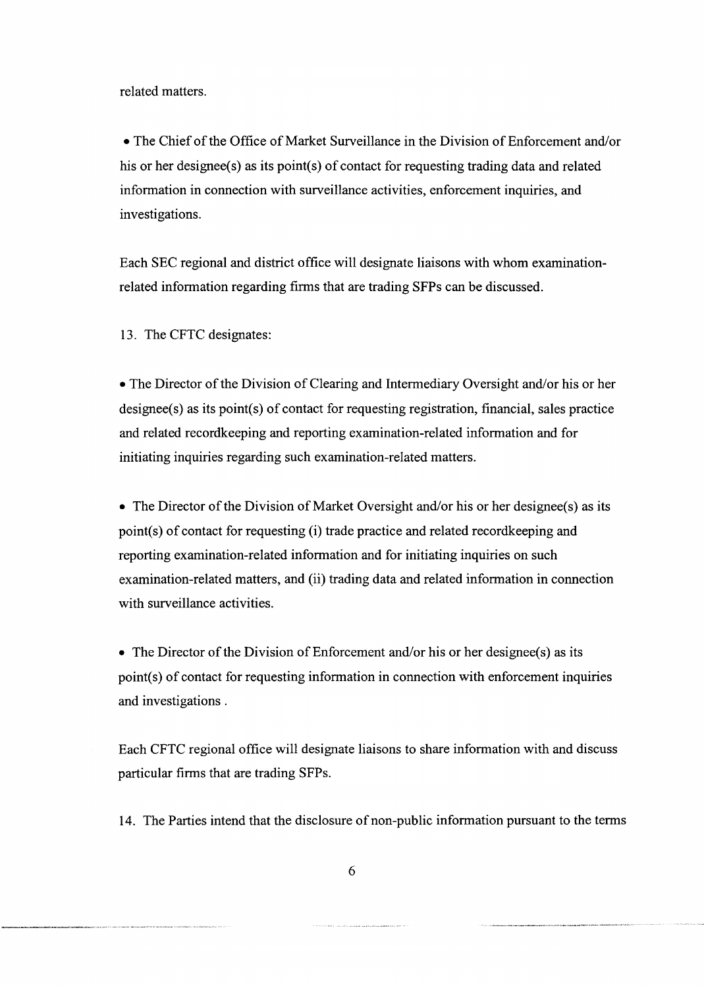related matters.

• The Chief of the Office of Market Surveillance in the Division of Enforcement and/or his or her designee(s) as its point(s) of contact for requesting trading data and related information in connection with surveillance activities, enforcement inquiries, and investigations.

Each SEC regional and district office will designate liaisons with whom examinationrelated information regarding firms that are trading SFPs can be discussed.

13. The CFTC designates:

• The Director of the Division of Clearing and Intermediary Oversight and/or his or her designee(s) as its point(s) of contact for requesting registration, financial, sales practice and related recordkeeping and reporting examination-related information and for initiating inquiries regarding such examination-related matters.

• The Director of the Division of Market Oversight and/or his or her designee(s) as its point(s) of contact for requesting (i) trade practice and related recordkeeping and reporting examination-related information and for initiating inquiries on such examination-related matters, and (ii) trading data and related information in connection with surveillance activities.

• The Director of the Division of Enforcement and/or his or her designee(s) as its point(s) of contact for requesting information in connection with enforcement inquiries and investigations .

Each CFTC regional office will designate liaisons to share information with and discuss particular firms that are trading SFPs.

14. The Parties intend that the disclosure of non-public information pursuant to the terms